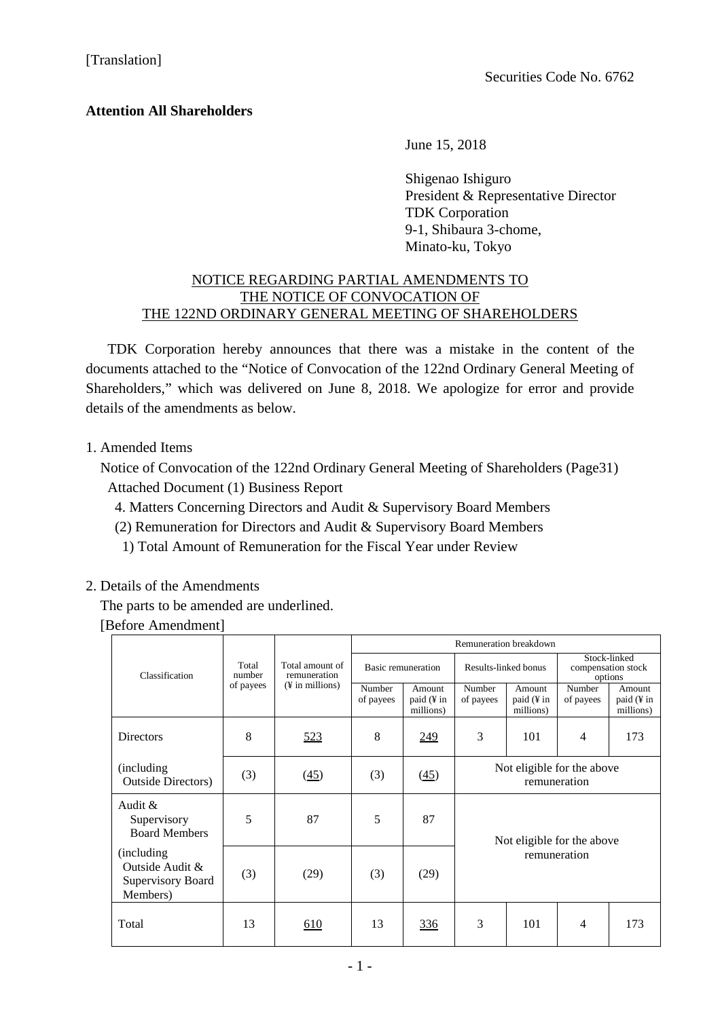## **Attention All Shareholders**

June 15, 2018

Shigenao Ishiguro President & Representative Director TDK Corporation 9-1, Shibaura 3-chome, Minato-ku, Tokyo

## NOTICE REGARDING PARTIAL AMENDMENTS TO THE NOTICE OF CONVOCATION OF THE 122ND ORDINARY GENERAL MEETING OF SHAREHOLDERS

TDK Corporation hereby announces that there was a mistake in the content of the documents attached to the "Notice of Convocation of the 122nd Ordinary General Meeting of Shareholders," which was delivered on June 8, 2018. We apologize for error and provide details of the amendments as below.

1. Amended Items

Notice of Convocation of the 122nd Ordinary General Meeting of Shareholders (Page31) Attached Document (1) Business Report

- 4. Matters Concerning Directors and Audit & Supervisory Board Members
- (2) Remuneration for Directors and Audit & Supervisory Board Members
- 1) Total Amount of Remuneration for the Fiscal Year under Review

## 2. Details of the Amendments

The parts to be amended are underlined.

[Before Amendment]

|                                                                 | Total<br>number<br>of payees | Total amount of<br>remuneration<br>$(\frac{1}{2}$ in millions) | Remuneration breakdown    |                                   |                                            |                                   |                                               |                                   |
|-----------------------------------------------------------------|------------------------------|----------------------------------------------------------------|---------------------------|-----------------------------------|--------------------------------------------|-----------------------------------|-----------------------------------------------|-----------------------------------|
| Classification                                                  |                              |                                                                | <b>Basic remuneration</b> |                                   | Results-linked bonus                       |                                   | Stock-linked<br>compensation stock<br>options |                                   |
|                                                                 |                              |                                                                | Number<br>of payees       | Amount<br>paid (¥ in<br>millions) | Number<br>of payees                        | Amount<br>paid (¥ in<br>millions) | Number<br>of payees                           | Amount<br>paid (¥ in<br>millions) |
| <b>Directors</b>                                                | 8                            | <u>523</u>                                                     | 8                         | <u>249</u>                        | 3                                          | 101                               | 4                                             | 173                               |
| (including)<br><b>Outside Directors)</b>                        | (3)                          | (45)                                                           | (3)                       | (45)                              | Not eligible for the above<br>remuneration |                                   |                                               |                                   |
| Audit $\&$<br>Supervisory<br><b>Board Members</b>               | 5                            | 87                                                             | 5                         | 87                                | Not eligible for the above<br>remuneration |                                   |                                               |                                   |
| (including)<br>Outside Audit &<br>Supervisory Board<br>Members) | (3)                          | (29)                                                           | (3)                       | (29)                              |                                            |                                   |                                               |                                   |
| Total                                                           | 13                           | 610                                                            | 13                        | 336                               | 3                                          | 101                               | $\overline{4}$                                | 173                               |